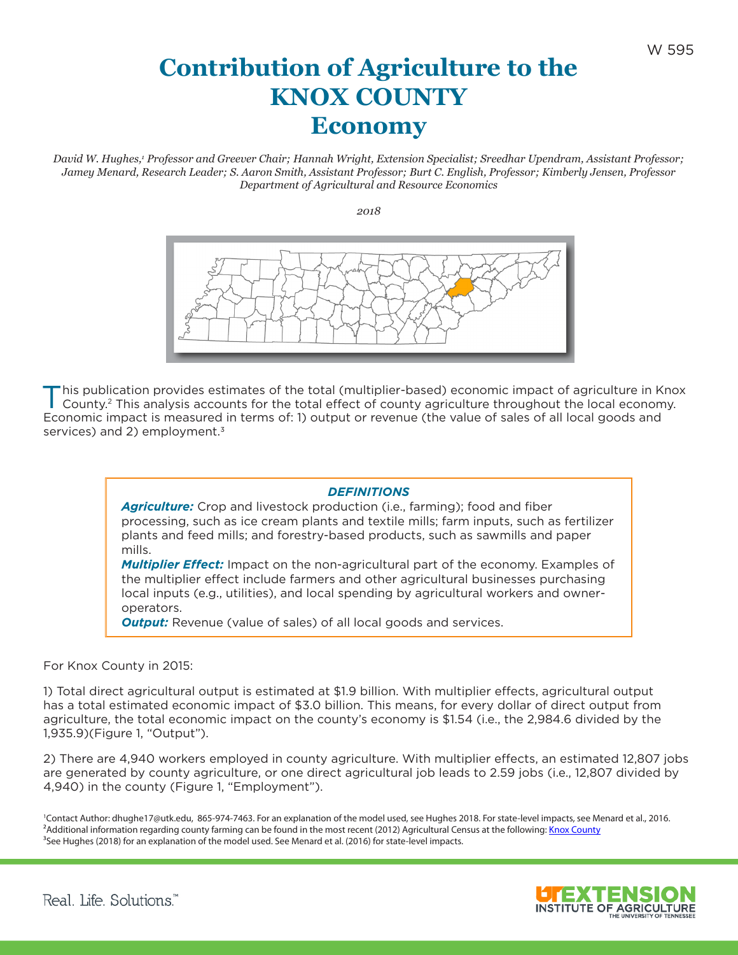## **Contribution of Agriculture to the KNOX COUNTY Economy**

David W. Hughes,<sup>1</sup> Professor and Greever Chair; Hannah Wright, Extension Specialist; Sreedhar Upendram, Assistant Professor; *Jamey Menard, Research Leader; S. Aaron Smith, Assistant Professor; Burt C. English, Professor; Kimberly Jensen, Professor Department of Agricultural and Resource Economics*

*2018*



his publication provides estimates of the total (multiplier-based) economic impact of agriculture in Knox County. 2 This analysis accounts for the total effect of county agriculture throughout the local economy. Economic impact is measured in terms of: 1) output or revenue (the value of sales of all local goods and services) and 2) employment.<sup>3</sup>

## *DEFINITIONS*

*Agriculture:* Crop and livestock production (i.e., farming); food and fiber processing, such as ice cream plants and textile mills; farm inputs, such as fertilizer plants and feed mills; and forestry-based products, such as sawmills and paper mills.

*Multiplier Effect:* Impact on the non-agricultural part of the economy. Examples of the multiplier effect include farmers and other agricultural businesses purchasing local inputs (e.g., utilities), and local spending by agricultural workers and owneroperators.

**Output:** Revenue (value of sales) of all local goods and services.

For Knox County in 2015:

1) Total direct agricultural output is estimated at \$1.9 billion. With multiplier effects, agricultural output has a total estimated economic impact of \$3.0 billion. This means, for every dollar of direct output from agriculture, the total economic impact on the county's economy is \$1.54 (i.e., the 2,984.6 divided by the 1,935.9)(Figure 1, "Output").

2) There are 4,940 workers employed in county agriculture. With multiplier effects, an estimated 12,807 jobs are generated by county agriculture, or one direct agricultural job leads to 2.59 jobs (i.e., 12,807 divided by 4,940) in the county (Figure 1, "Employment").

1 Contact Author: dhughe17@utk.edu, 865-974-7463. For an explanation of the model used, see Hughes 2018. For state-level impacts, see Menard et al., 2016. <sup>2</sup>Additional information regarding county farming can be found in the most recent (2012) Agricultural Census at the following: [Knox County](https://www.agcensus.usda.gov/Publications/2012/Online_Resources/County_Profiles/Tennessee/cp47093.pdf) <sup>3</sup>See Hughes (2018) for an explanation of the model used. See Menard et al. (2016) for state-level impacts.